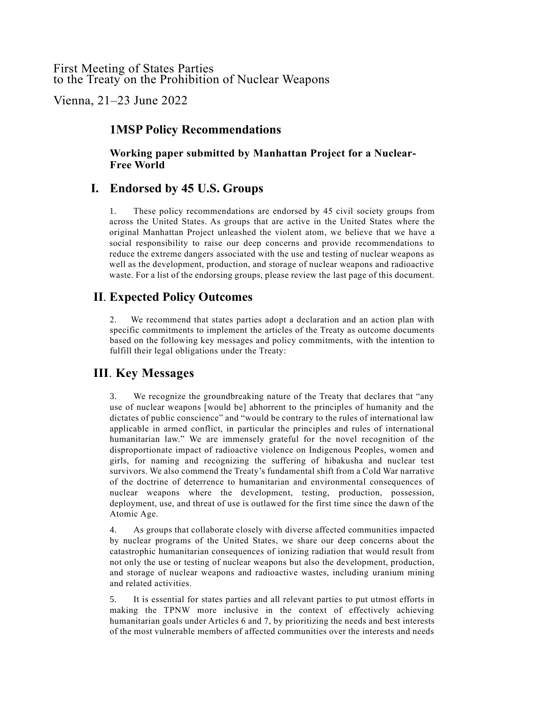### First Meeting of States Parties to the Treaty on the Prohibition of Nuclear Weapons

Vienna, 21–23 June 2022

## **1MSP Policy Recommendations**

**Working paper submitted by Manhattan Project for a Nuclear-Free World**

# **I. Endorsed by 45 U.S. Groups**

1. These policy recommendations are endorsed by 45 civil society groups from across the United States. As groups that are active in the United States where the original Manhattan Project unleashed the violent atom, we believe that we have a social responsibility to raise our deep concerns and provide recommendations to reduce the extreme dangers associated with the use and testing of nuclear weapons as well as the development, production, and storage of nuclear weapons and radioactive waste. For a list of the endorsing groups, please review the last page of this document.

## **II**. **Expected Policy Outcomes**

2. We recommend that states parties adopt a declaration and an action plan with specific commitments to implement the articles of the Treaty as outcome documents based on the following key messages and policy commitments, with the intention to fulfill their legal obligations under the Treaty:

# **III**. **Key Messages**

3. We recognize the groundbreaking nature of the Treaty that declares that "any use of nuclear weapons [would be] abhorrent to the principles of humanity and the dictates of public conscience" and "would be contrary to the rules of international law applicable in armed conflict, in particular the principles and rules of international humanitarian law." We are immensely grateful for the novel recognition of the disproportionate impact of radioactive violence on Indigenous Peoples, women and girls, for naming and recognizing the suffering of hibakusha and nuclear test survivors. We also commend the Treaty's fundamental shift from a Cold War narrative of the doctrine of deterrence to humanitarian and environmental consequences of nuclear weapons where the development, testing, production, possession, deployment, use, and threat of use is outlawed for the first time since the dawn of the Atomic Age.

4. As groups that collaborate closely with diverse affected communities impacted by nuclear programs of the United States, we share our deep concerns about the catastrophic humanitarian consequences of ionizing radiation that would result from not only the use or testing of nuclear weapons but also the development, production, and storage of nuclear weapons and radioactive wastes, including uranium mining and related activities.

5. It is essential for states parties and all relevant parties to put utmost efforts in making the TPNW more inclusive in the context of effectively achieving humanitarian goals under Articles 6 and 7, by prioritizing the needs and best interests of the most vulnerable members of affected communities over the interests and needs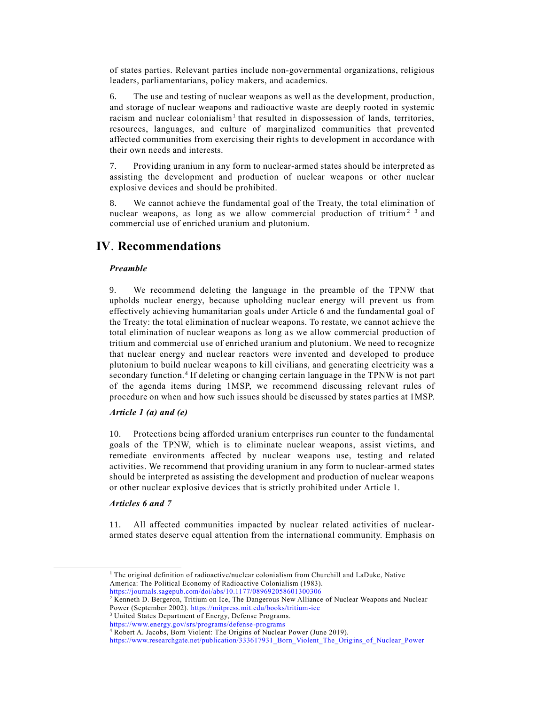of states parties. Relevant parties include non-governmental organizations, religious leaders, parliamentarians, policy makers, and academics.

6. The use and testing of nuclear weapons as well as the development, production, and storage of nuclear weapons and radioactive waste are deeply rooted in systemic racism and nuclear colonialism<sup>1</sup> that resulted in dispossession of lands, territories, resources, languages, and culture of marginalized communities that prevented affected communities from exercising their rights to development in accordance with their own needs and interests.

7. Providing uranium in any form to nuclear-armed states should be interpreted as assisting the development and production of nuclear weapons or other nuclear explosive devices and should be prohibited.

8. We cannot achieve the fundamental goal of the Treaty, the total elimination of nuclear weapons, as long as we allow commercial production of tritium<sup>2 3</sup> and commercial use of enriched uranium and plutonium.

## **IV**. **Recommendations**

#### *Preamble*

9. We recommend deleting the language in the preamble of the TPNW that upholds nuclear energy, because upholding nuclear energy will prevent us from effectively achieving humanitarian goals under Article 6 and the fundamental goal of the Treaty: the total elimination of nuclear weapons. To restate, we cannot achieve the total elimination of nuclear weapons as long as we allow commercial production of tritium and commercial use of enriched uranium and plutonium. We need to recognize that nuclear energy and nuclear reactors were invented and developed to produce plutonium to build nuclear weapons to kill civilians, and generating electricity was a secondary function.<sup>4</sup> If deleting or changing certain language in the TPNW is not part of the agenda items during 1MSP, we recommend discussing relevant rules of procedure on when and how such issues should be discussed by states parties at 1MSP.

### *Article 1 (a) and (e)*

10. Protections being afforded uranium enterprises run counter to the fundamental goals of the TPNW, which is to eliminate nuclear weapons, assist victims, and remediate environments affected by nuclear weapons use, testing and related activities. We recommend that providing uranium in any form to nuclear-armed states should be interpreted as assisting the development and production of nuclear weapons or other nuclear explosive devices that is strictly prohibited under Article 1.

#### *Articles 6 and 7*

11. All affected communities impacted by nuclear related activities of nucleararmed states deserve equal attention from the international community. Emphasis on

<sup>&</sup>lt;sup>1</sup> The original definition of radioactive/nuclear colonialism from Churchill and LaDuke, Native America: The Political Economy of Radioactive Colonialism (1983).

<https://journals.sagepub.com/doi/abs/10.1177/089692058601300306>

<sup>2</sup> Kenneth D. Bergeron, Tritium on Ice, The Dangerous New Alliance of Nuclear Weapons and Nuclear Power (September 2002).<https://mitpress.mit.edu/books/tritium-ice>

<sup>&</sup>lt;sup>3</sup> United States Department of Energy, Defense Programs.

<https://www.energy.gov/srs/programs/defense-programs>

<sup>4</sup> Robert A. Jacobs, Born Violent: The Origins of Nuclear Power (June 2019).

[https://www.researchgate.net/publication/333617931\\_Born\\_Violent\\_The\\_Origins\\_of\\_Nuclear\\_Power](https://www.researchgate.net/publication/333617931_Born_Violent_The_Origins_of_Nuclear_Power)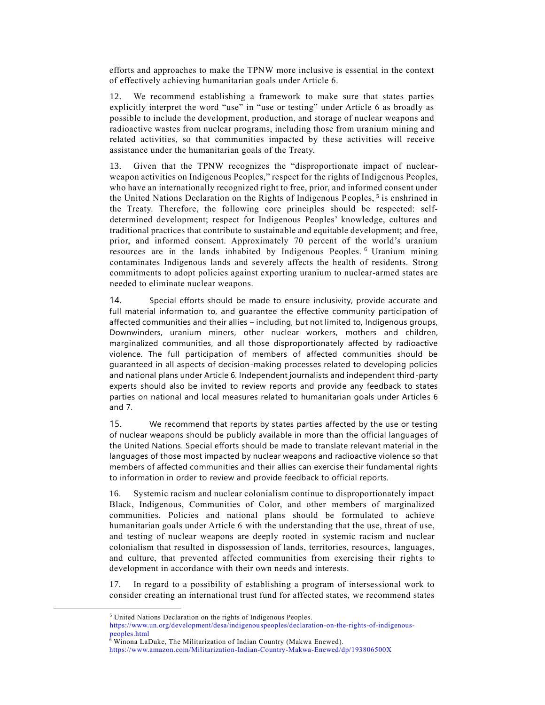efforts and approaches to make the TPNW more inclusive is essential in the context of effectively achieving humanitarian goals under Article 6.

12. We recommend establishing a framework to make sure that states parties explicitly interpret the word "use" in "use or testing" under Article 6 as broadly as possible to include the development, production, and storage of nuclear weapons and radioactive wastes from nuclear programs, including those from uranium mining and related activities, so that communities impacted by these activities will receive assistance under the humanitarian goals of the Treaty.

13. Given that the TPNW recognizes the "disproportionate impact of nuclearweapon activities on Indigenous Peoples," respect for the rights of Indigenous Peoples, who have an internationally recognized right to free, prior, and informed consent under the United Nations Declaration on the Rights of Indigenous Peoples,<sup>5</sup> is enshrined in the Treaty. Therefore, the following core principles should be respected: selfdetermined development; respect for Indigenous Peoples' knowledge, cultures and traditional practices that contribute to sustainable and equitable development; and free, prior, and informed consent. Approximately 70 percent of the world's uranium resources are in the lands inhabited by Indigenous Peoples.<sup>6</sup> Uranium mining contaminates Indigenous lands and severely affects the health of residents. Strong commitments to adopt policies against exporting uranium to nuclear-armed states are needed to eliminate nuclear weapons.

14. Special efforts should be made to ensure inclusivity, provide accurate and full material information to, and guarantee the effective community participation of affected communities and their allies – including, but not limited to, Indigenous groups, Downwinders, uranium miners, other nuclear workers, mothers and children, marginalized communities, and all those disproportionately affected by radioactive violence. The full participation of members of affected communities should be guaranteed in all aspects of decision-making processes related to developing policies and national plans under Article 6. Independent journalists and independent third-party experts should also be invited to review reports and provide any feedback to states parties on national and local measures related to humanitarian goals under Articles 6 and 7.

15. We recommend that reports by states parties affected by the use or testing of nuclear weapons should be publicly available in more than the official languages of the United Nations. Special efforts should be made to translate relevant material in the languages of those most impacted by nuclear weapons and radioactive violence so that members of affected communities and their allies can exercise their fundamental rights to information in order to review and provide feedback to official reports.

16. Systemic racism and nuclear colonialism continue to disproportionately impact Black, Indigenous, Communities of Color, and other members of marginalized communities. Policies and national plans should be formulated to achieve humanitarian goals under Article 6 with the understanding that the use, threat of use, and testing of nuclear weapons are deeply rooted in systemic racism and nuclear colonialism that resulted in dispossession of lands, territories, resources, languages, and culture, that prevented affected communities from exercising their rights to development in accordance with their own needs and interests.

17. In regard to a possibility of establishing a program of intersessional work to consider creating an international trust fund for affected states, we recommend states

<sup>5</sup> United Nations Declaration on the rights of Indigenous Peoples.

[https://www.un.org/development/desa/indigenouspeoples/declaration-on-the-rights-of-indigenous](https://www.un.org/development/desa/indigenouspeoples/declaration-on-the-rights-of-indigenous-peoples.html)[peoples.html](https://www.un.org/development/desa/indigenouspeoples/declaration-on-the-rights-of-indigenous-peoples.html)

<sup>&</sup>lt;sup>6</sup> Winona LaDuke, The Militarization of Indian Country (Makwa Enewed). <https://www.amazon.com/Militarization-Indian-Country-Makwa-Enewed/dp/193806500X>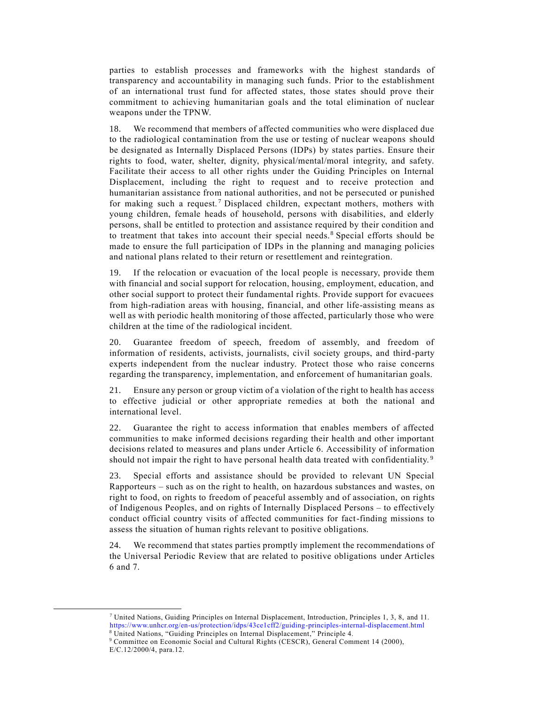parties to establish processes and frameworks with the highest standards of transparency and accountability in managing such funds. Prior to the establishment of an international trust fund for affected states, those states should prove their commitment to achieving humanitarian goals and the total elimination of nuclear weapons under the TPNW.

18. We recommend that members of affected communities who were displaced due to the radiological contamination from the use or testing of nuclear weapons should be designated as Internally Displaced Persons (IDPs) by states parties. Ensure their rights to food, water, shelter, dignity, physical/mental/moral integrity, and safety. Facilitate their access to all other rights under the Guiding Principles on Internal Displacement, including the right to request and to receive protection and humanitarian assistance from national authorities, and not be persecuted or punished for making such a request.<sup>7</sup> Displaced children, expectant mothers, mothers with young children, female heads of household, persons with disabilities, and elderly persons, shall be entitled to protection and assistance required by their condition and to treatment that takes into account their special needs.<sup>8</sup> Special efforts should be made to ensure the full participation of IDPs in the planning and managing policies and national plans related to their return or resettlement and reintegration.

19. If the relocation or evacuation of the local people is necessary, provide them with financial and social support for relocation, housing, employment, education, and other social support to protect their fundamental rights. Provide support for evacuees from high-radiation areas with housing, financial, and other life-assisting means as well as with periodic health monitoring of those affected, particularly those who were children at the time of the radiological incident.

20. Guarantee freedom of speech, freedom of assembly, and freedom of information of residents, activists, journalists, civil society groups, and third-party experts independent from the nuclear industry. Protect those who raise concerns regarding the transparency, implementation, and enforcement of humanitarian goals.

21. Ensure any person or group victim of a violation of the right to health has access to effective judicial or other appropriate remedies at both the national and international level.

22. Guarantee the right to access information that enables members of affected communities to make informed decisions regarding their health and other important decisions related to measures and plans under Article 6. Accessibility of information should not impair the right to have personal health data treated with confidentiality.<sup>9</sup>

23. Special efforts and assistance should be provided to relevant UN Special Rapporteurs – such as on the right to health, on hazardous substances and wastes, on right to food, on rights to freedom of peaceful assembly and of association, on rights of Indigenous Peoples, and on rights of Internally Displaced Persons – to effectively conduct official country visits of affected communities for fact-finding missions to assess the situation of human rights relevant to positive obligations.

24. We recommend that states parties promptly implement the recommendations of the Universal Periodic Review that are related to positive obligations under Articles 6 and 7.

<sup>7</sup> United Nations, Guiding Principles on Internal Displacement, Introduction, Principles 1, 3, 8, and 11. <https://www.unhcr.org/en-us/protection/idps/43ce1cff2/guiding-principles-internal-displacement.html>

<sup>8</sup> United Nations, "Guiding Principles on Internal Displacement," Principle 4.

<sup>9</sup> Committee on Economic Social and Cultural Rights (CESCR), General Comment 14 (2000), E/C.12/2000/4, para.12.